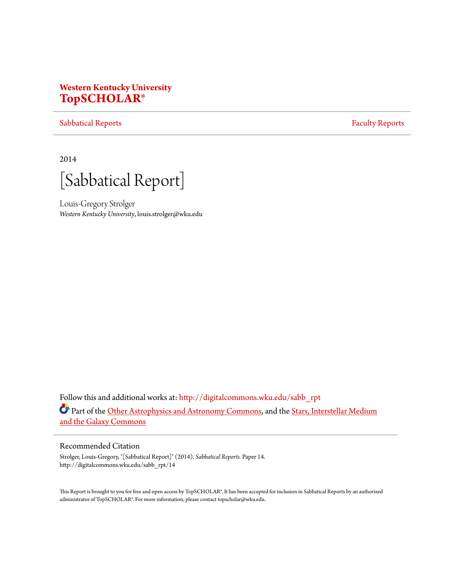# **Western Kentucky University [TopSCHOLAR®](http://digitalcommons.wku.edu?utm_source=digitalcommons.wku.edu%2Fsabb_rpt%2F14&utm_medium=PDF&utm_campaign=PDFCoverPages)**

### [Sabbatical Reports](http://digitalcommons.wku.edu/sabb_rpt?utm_source=digitalcommons.wku.edu%2Fsabb_rpt%2F14&utm_medium=PDF&utm_campaign=PDFCoverPages) **[Faculty Reports](http://digitalcommons.wku.edu/fac_rpts?utm_source=digitalcommons.wku.edu%2Fsabb_rpt%2F14&utm_medium=PDF&utm_campaign=PDFCoverPages)**

2014

[Sabbatical Report]

Louis-Gregory Strolger *Western Kentucky University*, louis.strolger@wku.edu

Follow this and additional works at: [http://digitalcommons.wku.edu/sabb\\_rpt](http://digitalcommons.wku.edu/sabb_rpt?utm_source=digitalcommons.wku.edu%2Fsabb_rpt%2F14&utm_medium=PDF&utm_campaign=PDFCoverPages) Part of the [Other Astrophysics and Astronomy Commons](http://network.bepress.com/hgg/discipline/130?utm_source=digitalcommons.wku.edu%2Fsabb_rpt%2F14&utm_medium=PDF&utm_campaign=PDFCoverPages), and the [Stars, Interstellar Medium](http://network.bepress.com/hgg/discipline/127?utm_source=digitalcommons.wku.edu%2Fsabb_rpt%2F14&utm_medium=PDF&utm_campaign=PDFCoverPages) [and the Galaxy Commons](http://network.bepress.com/hgg/discipline/127?utm_source=digitalcommons.wku.edu%2Fsabb_rpt%2F14&utm_medium=PDF&utm_campaign=PDFCoverPages)

## Recommended Citation

Strolger, Louis-Gregory, "[Sabbatical Report]" (2014). *Sabbatical Reports.* Paper 14. http://digitalcommons.wku.edu/sabb\_rpt/14

This Report is brought to you for free and open access by TopSCHOLAR®. It has been accepted for inclusion in Sabbatical Reports by an authorized administrator of TopSCHOLAR®. For more information, please contact topscholar@wku.edu.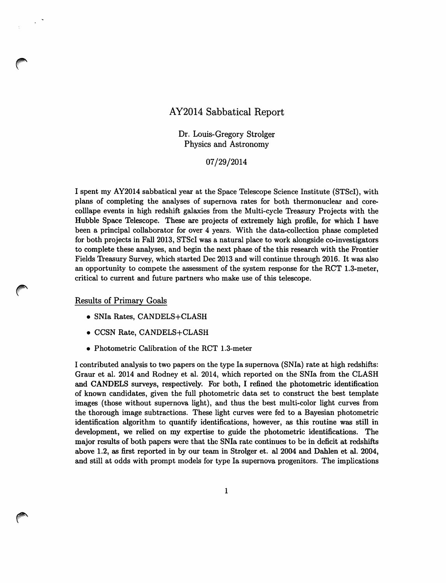# AY2014 Sabbatical Report

Dr. Louis-Gregory Strolger Physics and Astronomy

07/29/2014

I spent my AY2014 sabbatical year at the Space Telescope Science Institute (STScI), with plans of completing the analyses of supernova rates for both thermonuclear and corecolliape events in high redshift galaxies from the Multi-cycle Treasury Projects with the Hubble Space Telescope. These are projects of extremely high profile, for which I have been a principal collaborator for over 4 years. With the data-collection phase completed for both projects in Fall 2013, STScI was a natural place to work alongside co-investigators to complete these analyses, and begin the next phase of the this research with the Frontier Fields Theasury Survey, which started Dec 2013 and will continue through 2016. It was also an opportunity to compete the assessment of the system response for the RCT 1.3-meter, critical to current and future partners who make use of this telescope.

#### Results of Primary Goals

- SNla Rates, CANDELS+CLASH
- CCSN Rate, CANDELS+CLASH
- Photometric Calibration of the RCT 1.3-meter

I contributed analysis to two papers on the type Ia supernova (SNla) rate at high redshifts: Graur et al. 2014 and Rodney et al. 2014, which reported on the SNla from the CLASH and CANDELS surveys, respectively. For both, I refined the photometric identification of known candidates, given the full photometric data set to construct the best template images (those without supernova light), and thus the best multi-color light curves from the thorough image subtractions. These light curves were fed to a Bayesian photometric identification algorithm to quantify identifications, however, as this routine was still in development, we relied on my expertise to guide the photometric identifications. The major results of both papers were that the SNla rate continues to be in deficit at redshifts above 1.2, as first reported in by our team in Strolger et. al 2004 and Dahlen et aI. 2004, and still at odds with prompt models for type Ia supernova progenitors. The implications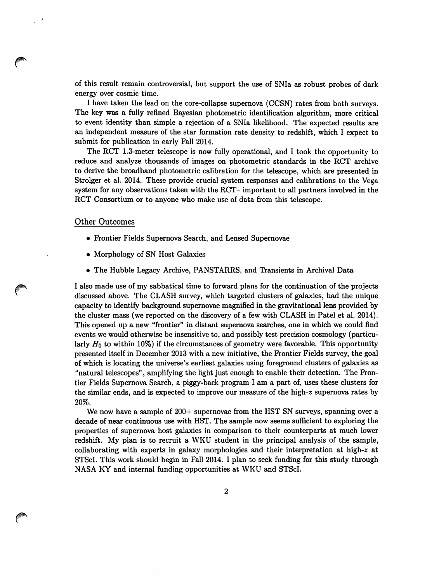of this result remain controversial, but support the use of SNIa as robust probes of dark energy over cosmic time.

I have taken the lead on the core-collapse supernova (CCSN) rates from both surveys. The key was a fully refined Bayesian photometric identification algorithm, more critical to event identity than simple a rejection of a SNIa likelihood. The expected results are an independent measure of the star formation rate density to redshift, which I expect to submit for publication in early Fall 2014.

The RCT 1.3-meter telescope is now fully operational, and I took the opportunity to reduce and analyze thousands of images on photometric standards in the RCT archive to derive the broadband photometric calibration for the telescope, which are presented in Strolger et a1. 2014. These provide crucial system responses and calibrations to the Vega system for any observations taken with the RCT- important to all partners involved in the RCT Consortium or to anyone who make use of data from this telescope.

#### Other Outcomes

- Frontier Fields Supernova Search, and Lensed Supernovae
- Morphology of SN Host Galaxies
- The Hubble Legacy Archive, PANSTARRS, and Transients in Archival Data

I also made use of my sabbatical time to forward plans for the continuation of the projects discussed above. The CLASH survey, which targeted clusters of galaxies, had the unique capacity to identify background supernovae magnified in the gravitational lens provided by the cluster mass (we reported on the discovery of a few with CLASH in Patel et a1. 2014). This opened up a new "frontier" in distant supernova searches, one in which we could find events we would otherwise be insensitive to, and possibly test precision cosmology (particularly  $H_0$  to within 10%) if the circumstances of geometry were favorable. This opportunity presented itself in December 2013 with a new initiative, the Frontier Fields survey, the goal of which is locating the universe's earliest galaxies using foreground clusters of galaxies as "natural telescopes", amplifying the light just enough to enable their detection. The Frontier Fields Supernova Search, a piggy-back program I am a part of, uses these clusters for the similar ends, and is expected to improve our measure of the high-z supernova rates by 20%.

We now have a sample of 200+ supernovae from the HST SN surveys, spanning over a decade of near continuous use with HST. The sample now seems sufficient to exploring the properties of supernova host galaxies in comparison to their counterparts at much lower redshift. My plan is to recruit a WKU student in the principal analysis of the sample, collaborating with experts in galaxy morphologies and their interpretation at high-z at STScl. This work should begin in Fall 2014. I plan to seek funding for this study through NASA KY and internal funding opportunities at WKU and STScl.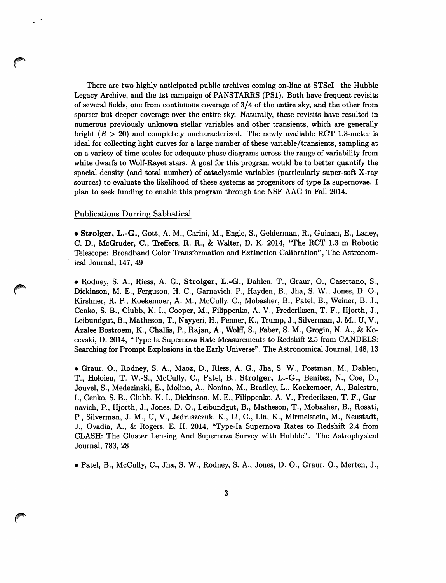There are two highly anticipated public archives coming on-line at STScI- the Hubble Legacy Archive, and the 1st campaign of PANSTARRS (PS1). Both have frequent revisits of several fields, one from continuous coverage of 3/4 of the entire sky, and the other from sparser but deeper coverage over the entire sky. Naturally, these revisits have resulted in numerous previously unknown stellar variables and other transients, which are generally bright  $(R > 20)$  and completely uncharacterized. The newly available RCT 1.3-meter is ideal for collecting light curves for a large number of these variable/transients, sampling at on a variety of time-scales for adequate phase diagrams across the range of variability from white dwarfs to Wolf-Rayet stars. A goal for this program would be to better quantify the spacial density (and total number) of cataclysmic variables (particularly super-soft X-ray sources) to evaluate the likelihood of these systems as progenitors of type Ia supernovae. I plan to seek funding to enable this program through the NSF AAG in Fall 2014.

#### Publications Durring Sabbatical

• Strolger, L.-G., Gott, A. M., Carini, M., Engle, S., Gelderman, R., Guinan, E., Laney, C. D., McGruder, C., Treffers, R. R., & Walter, D. K. 2014, "The RCT 1.3 m Robotic Telescope: Broadband Color Thansformation and Extinction Calibration", The Astronomical Journal, 147, 49

• Rodney, S. A., Riess, A. G., Strolger, L.-G., Dahlen, T., Graur, 0., Casertano, S., Dickinson, M. E., Ferguson, H. C., Garnavich, P., Hayden, B., Jha, S. W., Jones, D.O., Kirshner, R. P., Koekemoer, A. M., McCully, C., Mobasher, B., Patel, B., Weiner, B. J., Cenko, S. B., Clubb, K. I., Cooper, M., Filippenko, A. V., Frederiksen, T. F., Hjorth, J., Leibundgut, B., Matheson, T., Nayyeri, H., Penner, K., Thump, J., Silverman, J. M., U, V., Azalee Bostroem, K., Challis, P., Rajan, A., Wolff, S., Faber, S. M., Grogin, N. A., & Kocevski, D. 2014, "Type Ia Supernova Rate Measurements to Redshift 2.5 from CANDELS: Searching for Prompt Explosions in the Early Universe", The Astronomical Journal, 148, 13

• Graur, 0., Rodney, S. A., Maoz, D., Riess, A. G., Jha, S. W., Postman, M., Dahlen, T., Holoien, T. W.-S., McCully, C., Patel, B., Strolger, L.-G., Benitez, N., Coe, D., Jouvel, S., Medezinski, E., Molino, A., Nonino, M., Bradley, L., Koekemoer, A., Balestra, I., Cenko, S. B., Clubb, K. I., Dickinson, M. E., Filippenko, A. V., Frederiksen, T. F., Garnavich, P., Hjorth, J., Jones, D.O., Leibundgut, B., Matheson, T., Mobasher, B., Rosati, P., Silverman, J. M., U, V., Jedruszczuk, K., Li, C., Lin, K., Mirmelstein, M., Neustadt, J., Ovadia, A., & Rogers, E. H. 2014, "Type-Ia Supernova Rates to Redshift 2.4 from CLASH: The Cluster Lensing And Supernova Survey with Hubble". The Astrophysical Journal, 783, 28

• Patel, B., McCully, C., Jha, S. W., Rodney, S. A., Jones, D.O., Graur, 0., Merten, J.,